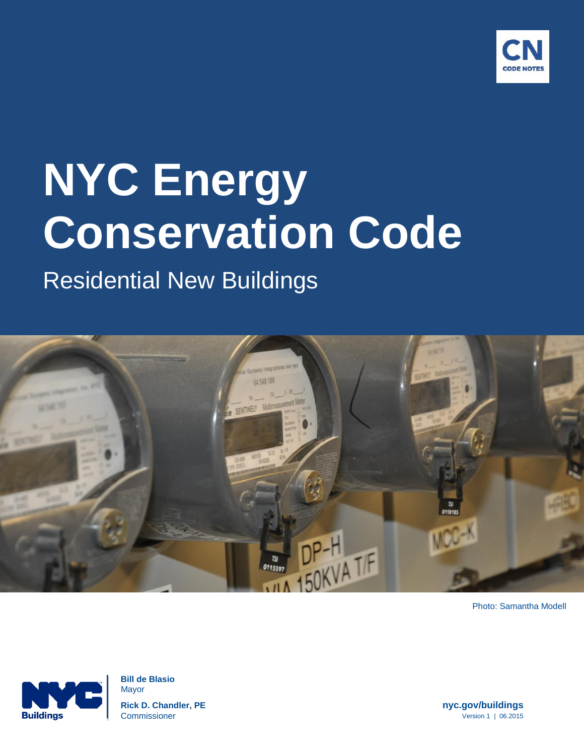

# Residential New Buildings



Photo: Samantha Modell



 **Bill de Blasio** Mayor  **Rick D. Chandler, PE nyc.gov/buildings Commissioner** Version 1 | 06.2015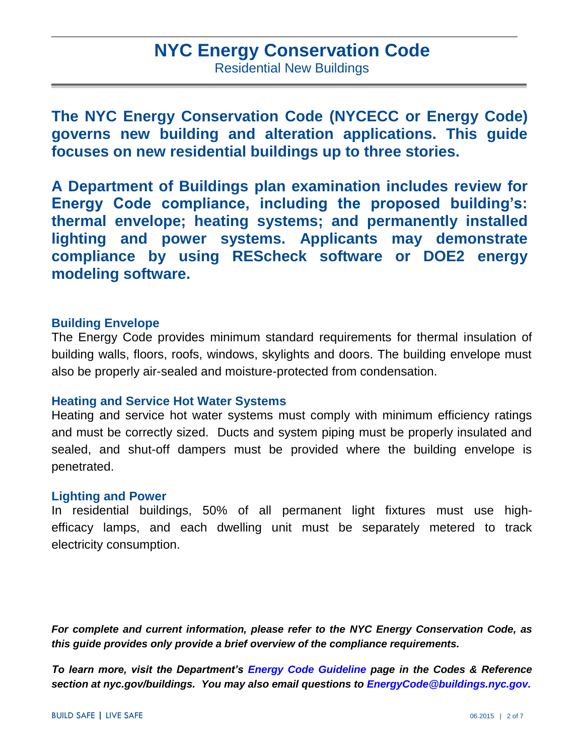### **NYC Energy Conservation Code** Residential New Buildings

**The NYC Energy Conservation Code (NYCECC or Energy Code) governs new building and alteration applications. This guide focuses on new residential buildings up to three stories.** 

**A Department of Buildings plan examination includes review for Energy Code compliance, including the proposed building's: thermal envelope; heating systems; and permanently installed lighting and power systems. Applicants may demonstrate compliance by using REScheck software or DOE2 energy modeling software.** 

#### **Building Envelope**

The Energy Code provides minimum standard requirements for thermal insulation of building walls, floors, roofs, windows, skylights and doors. The building envelope must also be properly air-sealed and moisture-protected from condensation.

#### **Heating and Service Hot Water Systems**

Heating and service hot water systems must comply with minimum efficiency ratings and must be correctly sized. Ducts and system piping must be properly insulated and sealed, and shut-off dampers must be provided where the building envelope is penetrated.

#### **Lighting and Power**

In residential buildings, 50% of all permanent light fixtures must use highefficacy lamps, and each dwelling unit must be separately metered to track electricity consumption.

*For complete and current information, please refer to the NYC Energy Conservation Code, as this guide provides only provide a brief overview of the compliance requirements.*

*To learn more, visit the Department's [Energy Code Guideline](http://www1.nyc.gov/site/buildings/codes/energy-conservation-code.page) page in the Codes & Reference section at nyc.gov/buildings. You may also email questions to [EnergyCode@buildings.nyc.gov.](mailto:EnergyCode@buildings.nyc.gov)*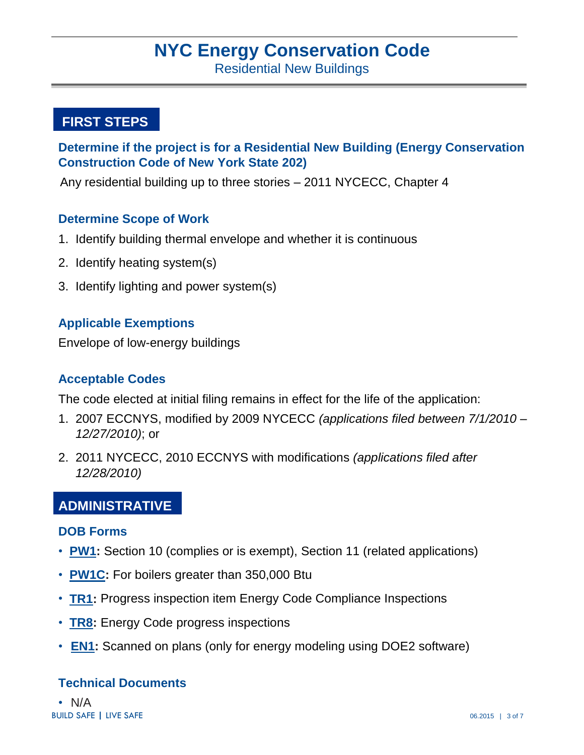Residential New Buildings

#### **FIRST STEPS**

#### **Determine if the project is for a Residential New Building (Energy Conservation Construction Code of New York State 202)**

Any residential building up to three stories – 2011 NYCECC, Chapter 4

#### **Determine Scope of Work**

- 1. Identify building thermal envelope and whether it is continuous
- 2. Identify heating system(s)
- 3. Identify lighting and power system(s)

#### **Applicable Exemptions**

Envelope of low-energy buildings

#### **Acceptable Codes**

The code elected at initial filing remains in effect for the life of the application:

- 1. 2007 ECCNYS, modified by 2009 NYCECC *(applications filed between 7/1/2010 – 12/27/2010)*; or
- 2. 2011 NYCECC, 2010 ECCNYS with modifications *(applications filed after 12/28/2010)*

#### **ADMINISTRATIVE**

#### **DOB Forms**

- **PW1:** Section 10 (complies or is exempt), Section 11 (related applications)
- **[PW1C:](http://www1.nyc.gov/assets/buildings/pdf/pw1c.pdf)** For boilers greater than 350,000 Btu
- **[TR1:](http://www1.nyc.gov/assets/buildings/pdf/tr1_2014.pdf)** Progress inspection item Energy Code Compliance Inspections
- **[TR8:](http://www1.nyc.gov/assets/buildings/pdf/tr8.pdf)** Energy Code progress inspections
- **[EN1:](http://www1.nyc.gov/assets/buildings/pdf/en1.pdf)** Scanned on plans (only for energy modeling using DOE2 software)

#### **Technical Documents**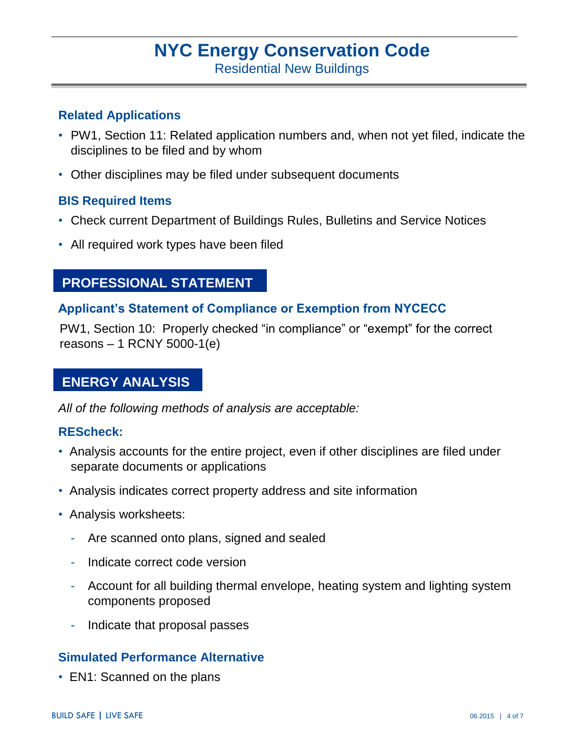Residential New Buildings

#### **Related Applications**

- PW1, Section 11: Related application numbers and, when not yet filed, indicate the disciplines to be filed and by whom
- Other disciplines may be filed under subsequent documents

#### **BIS Required Items**

- Check current Department of Buildings Rules, Bulletins and Service Notices
- All required work types have been filed

#### **PROFESSIONAL STATEMENT**

#### **Applicant's Statement of Compliance or Exemption from NYCECC**

PW1, Section 10: Properly checked "in compliance" or "exempt" for the correct reasons – 1 RCNY 5000-1(e)

#### **ENERGY ANALYSIS**

*All of the following methods of analysis are acceptable:* 

#### **REScheck:**

- Analysis accounts for the entire project, even if other disciplines are filed under separate documents or applications
- Analysis indicates correct property address and site information
- Analysis worksheets:
	- Are scanned onto plans, signed and sealed
	- Indicate correct code version
	- Account for all building thermal envelope, heating system and lighting system components proposed
	- Indicate that proposal passes

#### **Simulated Performance Alternative**

• EN1: Scanned on the plans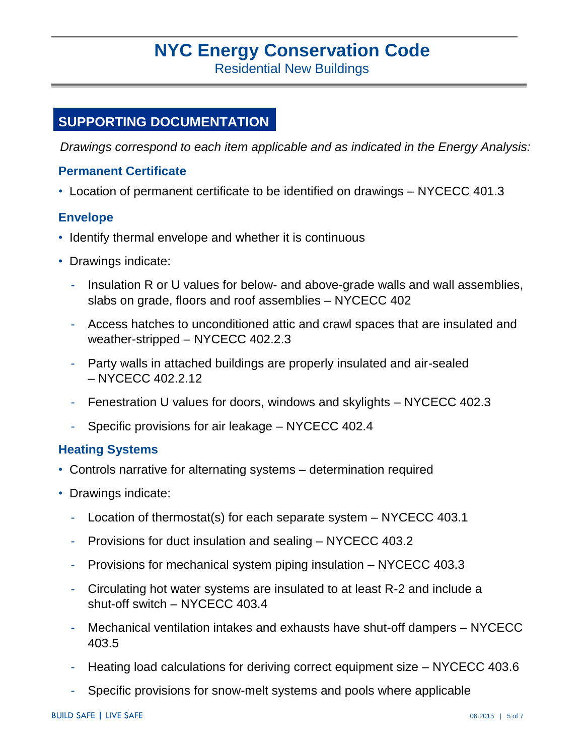Residential New Buildings

#### **SUPPORTING DOCUMENTATION**

*Drawings correspond to each item applicable and as indicated in the Energy Analysis:*

#### **Permanent Certificate**

• Location of permanent certificate to be identified on drawings – NYCECC 401.3

#### **Envelope**

- Identify thermal envelope and whether it is continuous
- Drawings indicate:
	- Insulation R or U values for below- and above-grade walls and wall assemblies, slabs on grade, floors and roof assemblies – NYCECC 402
	- Access hatches to unconditioned attic and crawl spaces that are insulated and weather-stripped – NYCECC 402.2.3
	- Party walls in attached buildings are properly insulated and air-sealed – NYCECC 402.2.12
	- Fenestration U values for doors, windows and skylights NYCECC 402.3
	- Specific provisions for air leakage NYCECC 402.4

#### **Heating Systems**

- Controls narrative for alternating systems determination required
- Drawings indicate:
	- Location of thermostat(s) for each separate system NYCECC 403.1
	- Provisions for duct insulation and sealing NYCECC 403.2
	- Provisions for mechanical system piping insulation NYCECC 403.3
	- Circulating hot water systems are insulated to at least R-2 and include a shut-off switch – NYCECC 403.4
	- Mechanical ventilation intakes and exhausts have shut-off dampers NYCECC 403.5
	- Heating load calculations for deriving correct equipment size NYCECC 403.6
	- Specific provisions for snow-melt systems and pools where applicable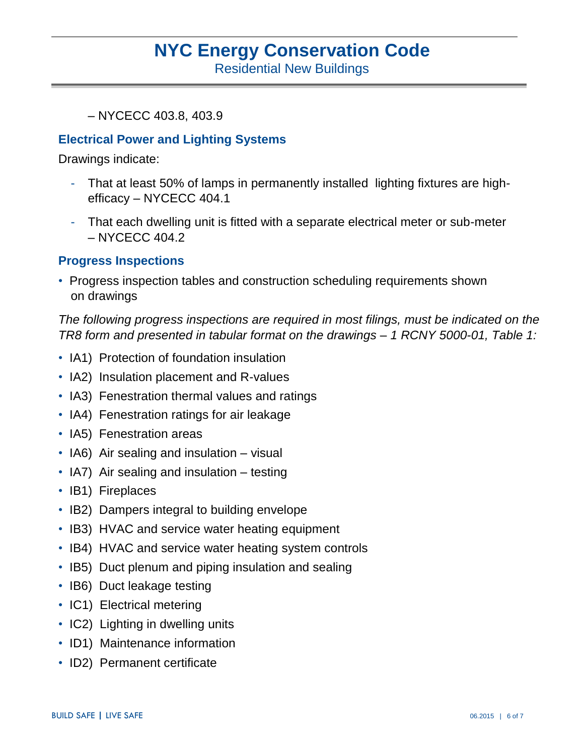Residential New Buildings

– NYCECC 403.8, 403.9

#### **Electrical Power and Lighting Systems**

Drawings indicate:

- That at least 50% of lamps in permanently installed lighting fixtures are highefficacy – NYCECC 404.1
- That each dwelling unit is fitted with a separate electrical meter or sub-meter – NYCECC 404.2

#### **Progress Inspections**

• Progress inspection tables and construction scheduling requirements shown on drawings

*The following progress inspections are required in most filings, must be indicated on the TR8 form and presented in tabular format on the drawings – 1 RCNY 5000-01, Table 1:*

- IA1) Protection of foundation insulation
- IA2) Insulation placement and R-values
- IA3) Fenestration thermal values and ratings
- IA4) Fenestration ratings for air leakage
- IA5) Fenestration areas
- IA6) Air sealing and insulation visual
- IA7) Air sealing and insulation testing
- IB1) Fireplaces
- IB2) Dampers integral to building envelope
- IB3) HVAC and service water heating equipment
- IB4) HVAC and service water heating system controls
- IB5) Duct plenum and piping insulation and sealing
- IB6) Duct leakage testing
- IC1) Electrical metering
- IC2) Lighting in dwelling units
- ID1) Maintenance information
- ID2) Permanent certificate